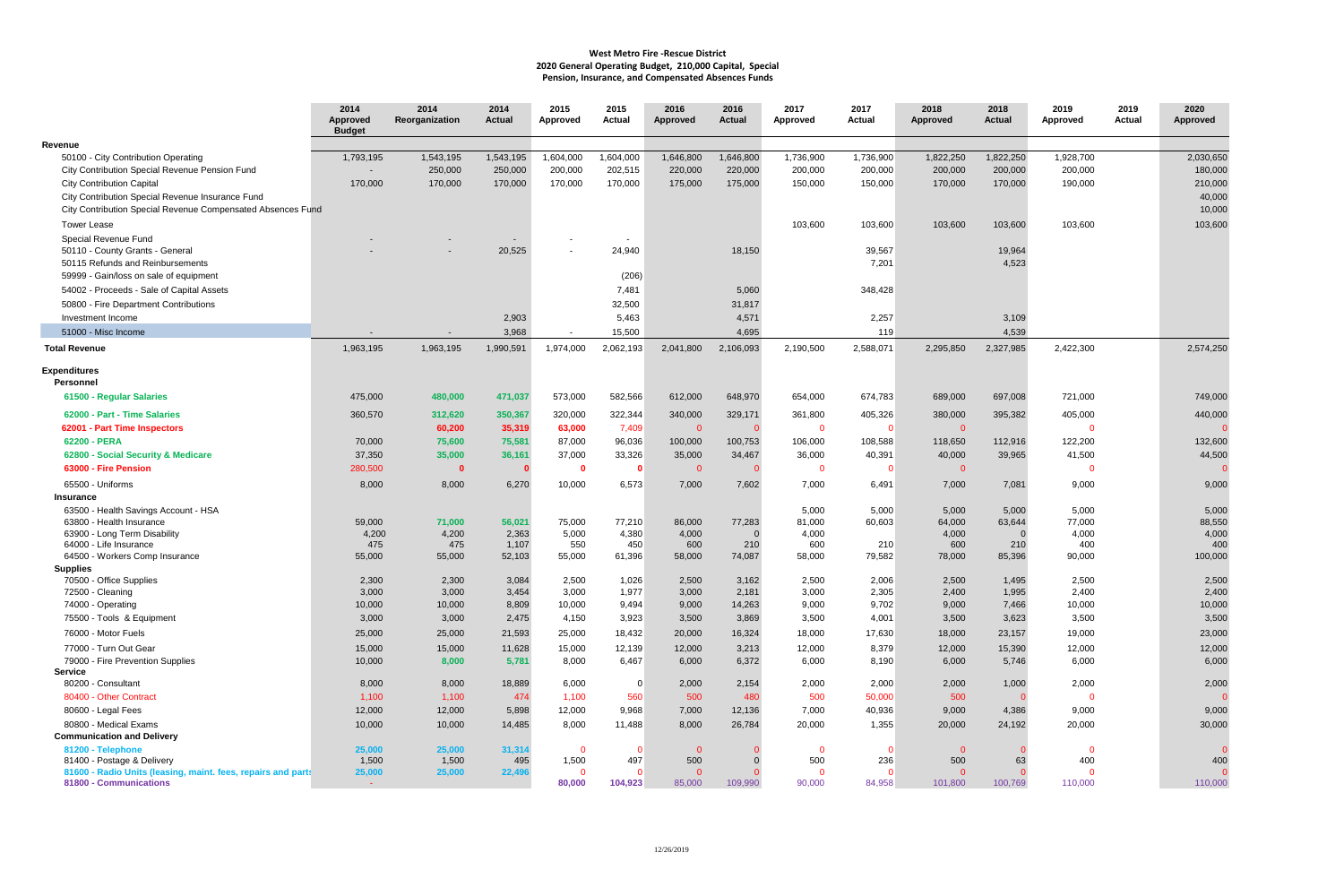|                                                              | 2014<br><b>Approved</b><br><b>Budget</b> | 2014<br>Reorganization | 2014<br>Actual  | 2015<br>Approved      | 2015<br>Actual  | 2016<br><b>Approved</b> | 2016<br><b>Actual</b> | 2017<br>Approved      | 2017<br><b>Actual</b> | 2018<br>Approved      | 2018<br>Actual     | 2019<br><b>Approved</b> | 2019<br>Actual | 2020<br><b>Approved</b> |
|--------------------------------------------------------------|------------------------------------------|------------------------|-----------------|-----------------------|-----------------|-------------------------|-----------------------|-----------------------|-----------------------|-----------------------|--------------------|-------------------------|----------------|-------------------------|
| Revenue                                                      |                                          |                        |                 |                       |                 |                         |                       |                       |                       |                       |                    |                         |                |                         |
| 50100 - City Contribution Operating                          | 1,793,195                                | 1,543,195              | 1,543,195       | 1,604,000             | 1,604,000       | 1,646,800               | 1,646,800             | 1,736,900             | 1,736,900             | 1,822,250             | 1,822,250          | 1,928,700               |                | 2,030,650               |
| City Contribution Special Revenue Pension Fund               |                                          | 250,000                | 250,000         | 200,000               | 202,515         | 220,000                 | 220,000               | 200,000               | 200,000               | 200,000               | 200,000            | 200,000                 |                | 180,000                 |
| <b>City Contribution Capital</b>                             | 170,000                                  | 170,000                | 170,000         | 170,000               | 170,000         | 175,000                 | 175,000               | 150,000               | 150,000               | 170,000               | 170,000            | 190,000                 |                | 210,000                 |
| City Contribution Special Revenue Insurance Fund             |                                          |                        |                 |                       |                 |                         |                       |                       |                       |                       |                    |                         |                | 40,000                  |
| City Contribution Special Revenue Compensated Absences Fund  |                                          |                        |                 |                       |                 |                         |                       |                       |                       |                       |                    |                         |                | 10,000                  |
| <b>Tower Lease</b>                                           |                                          |                        |                 |                       |                 |                         |                       | 103,600               | 103,600               | 103,600               | 103,600            | 103,600                 |                | 103,600                 |
| Special Revenue Fund                                         |                                          |                        |                 |                       | $\sim$          |                         |                       |                       |                       |                       |                    |                         |                |                         |
| 50110 - County Grants - General                              |                                          |                        | 20,525          |                       | 24,940          |                         | 18,150                |                       | 39,567                |                       | 19,964             |                         |                |                         |
| 50115 Refunds and Reinbursements                             |                                          |                        |                 |                       |                 |                         |                       |                       | 7,201                 |                       | 4,523              |                         |                |                         |
| 59999 - Gain/loss on sale of equipment                       |                                          |                        |                 |                       | (206)           |                         |                       |                       |                       |                       |                    |                         |                |                         |
| 54002 - Proceeds - Sale of Capital Assets                    |                                          |                        |                 |                       | 7,481           |                         | 5,060                 |                       | 348,428               |                       |                    |                         |                |                         |
| 50800 - Fire Department Contributions                        |                                          |                        |                 |                       | 32,500          |                         | 31,817                |                       |                       |                       |                    |                         |                |                         |
| Investment Income                                            |                                          |                        | 2,903           |                       | 5,463           |                         | 4,571                 |                       | 2,257                 |                       | 3,109              |                         |                |                         |
| 51000 - Misc Income                                          |                                          |                        | 3,968           | $\sim$                | 15,500          |                         | 4,695                 |                       | 119                   |                       | 4,539              |                         |                |                         |
| <b>Total Revenue</b>                                         | 1,963,195                                | 1,963,195              | 1,990,591       | 1,974,000             | 2,062,193       | 2,041,800               | 2,106,093             | 2,190,500             | 2,588,071             | 2,295,850             | 2,327,985          | 2,422,300               |                | 2,574,250               |
| <b>Expenditures</b><br><b>Personnel</b>                      |                                          |                        |                 |                       |                 |                         |                       |                       |                       |                       |                    |                         |                |                         |
| 61500 - Regular Salaries                                     | 475,000                                  | 480,000                | 471,037         | 573,000               | 582,566         | 612,000                 | 648,970               | 654,000               | 674,783               | 689,000               | 697,008            | 721,000                 |                | 749,000                 |
| 62000 - Part - Time Salaries                                 | 360,570                                  | 312,620                | 350,367         | 320,000               | 322,344         | 340,000                 | 329,171               | 361,800               | 405,326               | 380,000               | 395,382            | 405,000                 |                | 440,000                 |
| 62001 - Part Time Inspectors                                 |                                          | 60,200                 | 35,319          | 63,000                | 7,409           | $\overline{0}$          |                       | $\overline{0}$        | -0                    | $\overline{0}$        |                    | $\Omega$                |                | $\Omega$                |
| 62200 - PERA                                                 | 70,000                                   | 75,600                 | 75,581          | 87,000                | 96,036          | 100,000                 | 100,753               | 106,000               | 108,588               | 118,650               | 112,916            | 122,200                 |                | 132,600                 |
| 62800 - Social Security & Medicare                           | 37,350                                   | 35,000                 | 36,161          | 37,000                | 33,326          | 35,000                  | 34,467                | 36,000                | 40,391                | 40,000                | 39,965             | 41,500                  |                | 44,500                  |
| 63000 - Fire Pension                                         | 280,500                                  | $\mathbf 0$            |                 | - 0                   | - 0             | $\overline{0}$          |                       | $\overline{0}$        | -0                    | $\mathbf{0}$          |                    | $\Omega$                |                | <sup>n</sup>            |
| 65500 - Uniforms                                             | 8,000                                    | 8,000                  | 6,270           | 10,000                | 6,573           | 7,000                   | 7,602                 | 7,000                 | 6,491                 | 7,000                 | 7,081              | 9,000                   |                | 9,000                   |
| <b>Insurance</b>                                             |                                          |                        |                 |                       |                 |                         |                       |                       |                       |                       |                    |                         |                |                         |
| 63500 - Health Savings Account - HSA                         |                                          |                        |                 |                       |                 |                         |                       | 5,000                 | 5,000                 | 5,000                 | 5,000              | 5,000                   |                | 5,000                   |
| 63800 - Health Insurance<br>63900 - Long Term Disability     | 59,000<br>4,200                          | 71,000<br>4,200        | 56,021<br>2,363 | 75,000<br>5,000       | 77,210<br>4,380 | 86,000<br>4,000         | 77,283<br>$\Omega$    | 81,000<br>4,000       | 60,603                | 64,000<br>4,000       | 63,644<br>$\Omega$ | 77,000<br>4,000         |                | 88,550<br>4,000         |
| 64000 - Life Insurance                                       | 475                                      | 475                    | 1,107           | 550                   | 450             | 600                     | 210                   | 600                   | 210                   | 600                   | 210                | 400                     |                | 400                     |
| 64500 - Workers Comp Insurance                               | 55,000                                   | 55,000                 | 52,103          | 55,000                | 61,396          | 58,000                  | 74,087                | 58,000                | 79,582                | 78,000                | 85,396             | 90,000                  |                | 100,000                 |
| <b>Supplies</b>                                              |                                          |                        |                 |                       |                 |                         |                       |                       |                       |                       |                    |                         |                |                         |
| 70500 - Office Supplies                                      | 2,300                                    | 2,300                  | 3,084           | 2,500                 | 1,026           | 2,500                   | 3,162                 | 2,500                 | 2,006                 | 2,500                 | 1,495              | 2,500                   |                | 2,500                   |
| 72500 - Cleaning                                             | 3,000                                    | 3,000                  | 3,454           | 3,000                 | 1,977           | 3,000                   | 2,181                 | 3,000                 | 2,305                 | 2,400                 | 1,995              | 2,400                   |                | 2,400                   |
| 74000 - Operating                                            | 10,000                                   | 10,000                 | 8,809           | 10,000                | 9,494           | 9,000                   | 14,263                | 9,000                 | 9,702                 | 9,000                 | 7,466              | 10,000                  |                | 10,000                  |
| 75500 - Tools & Equipment                                    | 3,000                                    | 3,000                  | 2,475           | 4,150                 | 3,923           | 3,500                   | 3,869                 | 3,500                 | 4,001                 | 3,500                 | 3,623              | 3,500                   |                | 3,500                   |
| 76000 - Motor Fuels                                          | 25,000                                   | 25,000                 | 21,593          | 25,000                | 18,432          | 20,000                  | 16,324                | 18,000                | 17,630                | 18,000                | 23,157             | 19,000                  |                | 23,000                  |
| 77000 - Turn Out Gear                                        | 15,000                                   | 15,000                 | 11,628          | 15,000                | 12,139          | 12,000                  | 3,213                 | 12,000                | 8,379                 | 12,000                | 15,390             | 12,000                  |                | 12,000                  |
| 79000 - Fire Prevention Supplies<br><b>Service</b>           | 10,000                                   | 8,000                  | 5,781           | 8,000                 | 6,467           | 6,000                   | 6,372                 | 6,000                 | 8,190                 | 6,000                 | 5,746              | 6,000                   |                | 6,000                   |
| 80200 - Consultant                                           | 8,000                                    | 8,000                  | 18,889          | 6,000                 | - 0             | 2,000                   | 2,154                 | 2,000                 | 2,000                 | 2,000                 | 1,000              | 2,000                   |                | 2,000                   |
| 80400 - Other Contract                                       | 1,100                                    | 1,100                  | 474             | 1,100                 | 560             | 500                     | 480                   | 500                   | 50,000                | 500                   |                    | $\overline{\mathbf{0}}$ |                | $\Omega$                |
| 80600 - Legal Fees                                           | 12,000                                   | 12,000                 | 5,898           | 12,000                | 9,968           | 7,000                   | 12,136                | 7,000                 | 40,936                | 9,000                 | 4,386              | 9,000                   |                | 9,000                   |
| 80800 - Medical Exams                                        | 10,000                                   | 10,000                 | 14,485          | 8,000                 | 11,488          | 8,000                   | 26,784                | 20,000                | 1,355                 | 20,000                | 24,192             | 20,000                  |                | 30,000                  |
| <b>Communication and Delivery</b>                            |                                          |                        |                 |                       |                 |                         |                       |                       |                       |                       |                    |                         |                |                         |
| 81200 - Telephone<br>81400 - Postage & Delivery              | 25,000<br>1,500                          | 25,000<br>1,500        | 31,314<br>495   | $\mathbf{0}$<br>1,500 | - 0<br>497      | $\overline{0}$<br>500   |                       | $\overline{0}$<br>500 | $\Omega$<br>236       | $\overline{0}$<br>500 | 63                 | $\mathbf{0}$<br>400     |                | $\mathbf{0}$<br>400     |
| 81600 - Radio Units (leasing, maint. fees, repairs and parts | 25,000                                   | 25,000                 | 22,496          | $\overline{0}$        | - 0             | $\overline{0}$          |                       | $\overline{0}$        | $\Omega$              | $\Omega$              |                    | $\overline{0}$          |                |                         |
| 81800 - Communications                                       |                                          |                        |                 | 80,000                | 104,923         | 85,000                  | 109,990               | 90,000                | 84,958                | 101,800               | 100,769            | 110,000                 |                | 110,000                 |

## **West Metro Fire -Rescue District 2020 General Operating Budget, 210,000 Capital, Special Pension, Insurance, and Compensated Absences Funds**